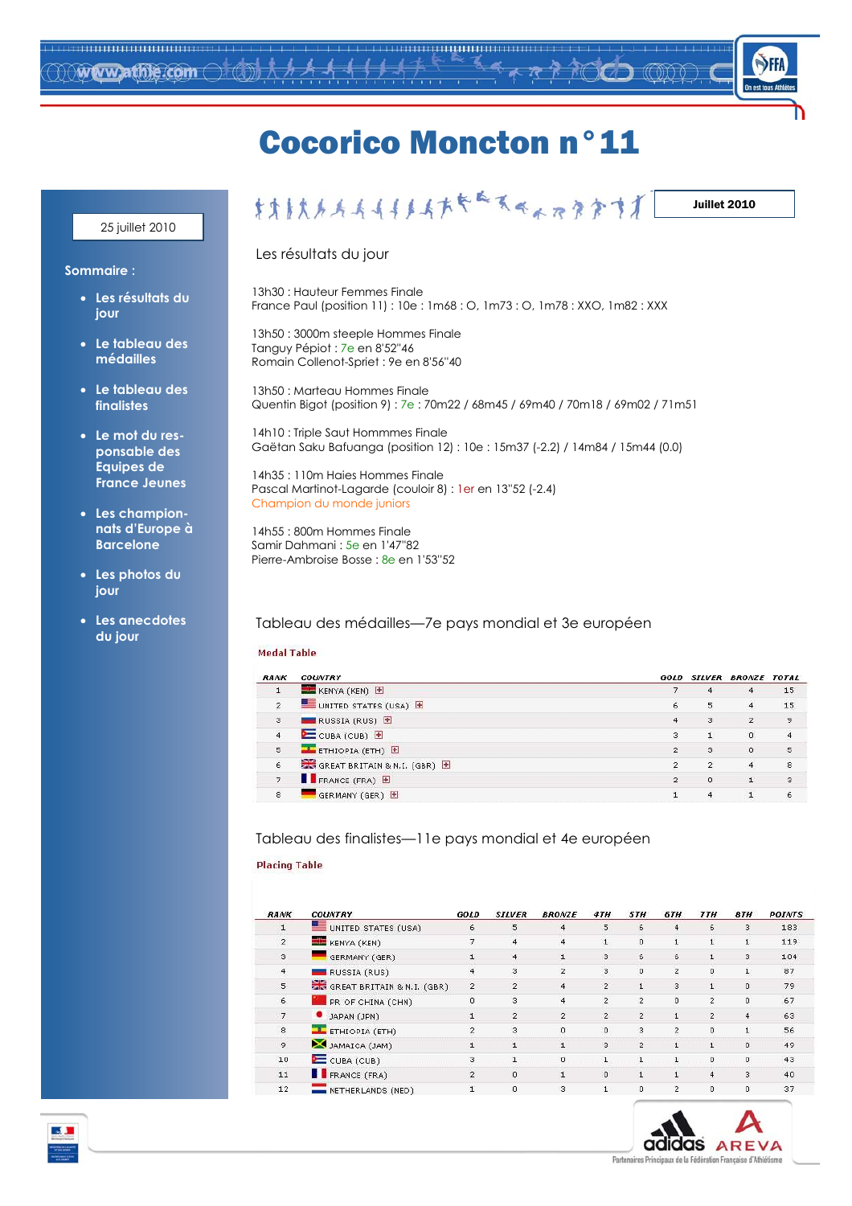

## **Cocorico Moncton n°11**

#### 25 juillet 2010

#### Juillet 2010

#### Les résultats du jour

13h30 : Hauteur Femmes Finale France Paul (position 11): 10e: 1m68: O, 1m73: O, 1m78: XXO, 1m82: XXX

13h50: 3000m steeple Hommes Finale Tanguy Pépiot : 7e en 8'52"46 Romain Collenot-Spriet : 9e en 8'56"40

13h50 : Marteau Hommes Finale Quentin Bigot (position 9): 7e: 70m22 / 68m45 / 69m40 / 70m18 / 69m02 / 71m51

14h10 : Triple Saut Hommmes Finale Gaëtan Saku Bafuanga (position 12): 10e: 15m37 (-2.2) / 14m84 / 15m44 (0.0)

14h35: 110m Haies Hommes Finale Pascal Martinot-Lagarde (couloir 8) : 1 er en 13"52 (-2.4) Champion du monde juniors

14h55: 800m Hommes Finale Samir Dahmani : 5e en 1'47"82 Pierre-Ambroise Bosse : 8e en 1'53"52

### Tableau des médailles-7e pays mondial et 3e européen

#### **Medal Table**

| <b>RANK</b>          | <b>COUNTRY</b>                              |                |                | GOLD SILVER BRONZE TOTAL |                |
|----------------------|---------------------------------------------|----------------|----------------|--------------------------|----------------|
| $\perp$              | KENYA (KEN) E                               |                | $\overline{4}$ | $\overline{4}$           | 15             |
| $\mathbf{2}$         | UNITED STATES (USA)                         | 6              | 5              | $\overline{4}$           | 15             |
| з                    | RUSSIA (RUS) E                              | $\overline{4}$ | 3              | $\overline{2}$           | 9              |
| $\overline{4}$       | E CUBA (CUB) 图                              | з              |                | $\Omega$                 | $\overline{4}$ |
| 5                    | ETHIOPIA (ETH) E                            | $\mathcal{D}$  | 3              | $\mathbf{0}$             | 5              |
| $\acute{\textrm{6}}$ | GREAT BRITAIN & N.I. (GBR) E                | $\overline{2}$ | $\overline{2}$ | $\overline{4}$           | 8              |
| $\overline{7}$       | $\blacksquare$ FRANCE (FRA) $\blacksquare$  | 2              | $\Omega$       |                          | з              |
| $\rm ^8$             | $\blacksquare$ GERMANY (GER) $\blacksquare$ |                |                |                          | 6              |

#### Tableau des finalistes—11e pays mondial et 4e européen

#### **Placing Table**

| RANK           | <b>COUNTRY</b>             | GOLD           | <b>SILVER</b>  | <b>BRONZE</b>  | 4TH            | <b>STH</b>     | 6TH                 | <b>77H</b>     | <b>8TH</b>              | <b>POINTS</b> |
|----------------|----------------------------|----------------|----------------|----------------|----------------|----------------|---------------------|----------------|-------------------------|---------------|
| $\mathbf{1}$   | UNITED STATES (USA)        | 6              | 5              |                | 5              | 6              | 4                   | 6              | $\overline{\mathbf{3}}$ | 183           |
| $\overline{2}$ | KENYA (KEN)                |                | $\overline{4}$ | 4              | $\mathbf{1}$   | $\Omega$       | $\mathbf{1}$        | ı              | 1                       | 119           |
| 3              | GERMANY (GER)              |                | $\overline{4}$ |                | 3              | 6              | $6\overline{6}$     |                | 3                       | 104           |
| $\overline{4}$ | RUSSIA (RUS)               |                | З              |                | 3              | $\mathbf 0$    | $\mathbf 2$         | $\Omega$       | 1                       | 87            |
| 5              | GREAT BRITAIN & N.I. (GBR) | $\mathbf{2}$   | $\overline{2}$ | $\overline{4}$ | $\overline{2}$ | $\mathbf{L}$   | 3                   | 1.             | 0                       | 79            |
| 6              | PR OF CHINA (CHN)          | $\Omega$       | 3              | $\overline{4}$ | $\overline{2}$ | $\overline{2}$ | $\ddot{\mathbf{0}}$ | $\overline{2}$ | Ö.                      | 67            |
| 7              | JAPAN (JPN)                | $\mathbf{1}$   | $\overline{2}$ | $\overline{2}$ | $\mathbf{2}$   | $\mathbf{2}$   | $\mathbf{1}$        | $\overline{2}$ | 4                       | 63            |
| $\mathbf{8}$   | ETHIOPIA (ETH)             | $\mathcal{D}$  | 3              | $\Omega$       | $\Omega$       | з              | $\overline{2}$      | $\Omega$       | $\mathbf{1}$            | 56            |
| 9              | JAMAICA (JAM)              |                |                |                | 3              | $\overline{2}$ |                     |                | 0                       | 49            |
| 10             | CUBA(CUB)                  | 3              |                |                |                |                |                     | $\Omega$       | 0                       | 43            |
| 11             | FRANCE (FRA)               | $\overline{2}$ | $\Omega$       |                | $\Omega$       |                |                     | 4              | з                       | 40            |
| 12             | NETHERLANDS (NED)          | $\mathbf{1}$   | $\circ$        | з              | $\mathbf{1}$   | $\Omega$       | $\overline{2}$      | $\Omega$       | 0                       | 37            |



Sommaire:

- · Les résultats du iour
- Le tableau des médailles
- Le tableau des finalistes
- Le mot du responsable des **Equipes de France Jeunes**
- Les championnats d'Europe à **Barcelone**
- Les photos du jour
- Les anecdotes du jour

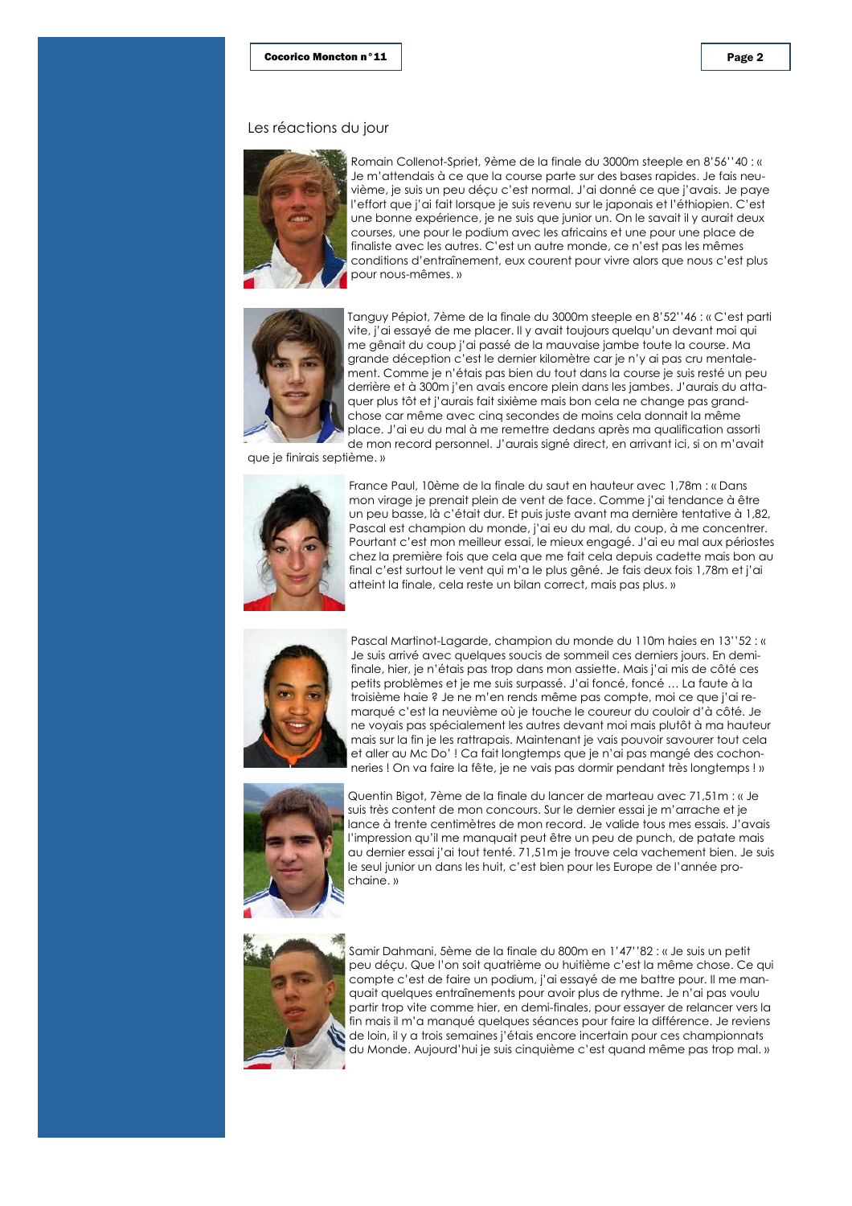#### Les réactions du jour



Romain Collenot-Spriet, 9ème de la finale du 3000m steeple en 8'56''40 : « Je m'attendais à ce que la course parte sur des bases rapides. Je fais neuvième, je suis un peu décu c'est normal. J'ai donné ce que j'avais. Je paye l'effort que j'ai fait lorsque je suis revenu sur le japonais et l'éthiopien. C'est une bonne expérience, je ne suis que junior un. On le savait il y aurait deux courses, une pour le podium avec les africains et une pour une place de finaliste avec les autres. C'est un autre monde, ce n'est pas les mêmes conditions d'entraînement, eux courent pour vivre alors que nous c'est plus pour nous-mêmes.»



Tanguy Pépiot, 7ème de la finale du 3000m steeple en 8'52''46 : « C'est parti vite, j'ai essayé de me placer. Il y avait toujours quelqu'un devant moi qui me gênait du coup j'ai passé de la mauvaise jambe toute la course. Ma arande déception c'est le dernier kilomètre car je n'y ai pas cru mentalement. Comme je n'étais pas bien du tout dans la course je suis resté un peu derrière et à 300m j'en avais encore plein dans les jambes. J'aurais du attaquer plus tôt et j'aurais fait sixième mais bon cela ne change pas grandchose car même avec cinq secondes de moins cela donnait la même place. J'ai eu du mal à me remettre dedans après ma qualification assorti de mon record personnel. J'aurais signé direct, en arrivant ici, si on m'avait

que je finirais septième.»



France Paul, 10ème de la finale du saut en hauteur avec 1,78m : « Dans mon virage je prenait plein de vent de face. Comme j'ai tendance à être un peu basse, là c'était dur. Et puis juste avant ma dernière tentative à 1,82, Pascal est champion du monde, j'ai eu du mal, du coup, à me concentrer. Pourtant c'est mon meilleur essai, le mieux engagé. J'ai eu mal aux périostes chez la première fois que cela que me fait cela depuis cadette mais bon au final c'est surtout le vent qui m'a le plus gêné. Je fais deux fois 1,78m et j'ai atteint la finale, cela reste un bilan correct, mais pas plus. »



Pascal Martinot-Lagarde, champion du monde du 110m haies en 13"52 : « Je suis arrivé avec quelques soucis de sommeil ces derniers jours. En demifinale, hier, je n'étais pas trop dans mon assiette. Mais j'ai mis de côté ces petits problèmes et je me suis surpassé. J'ai foncé, foncé ... La faute à la troisième haie ? Je ne m'en rends même pas compte, moi ce que j'ai remarqué c'est la neuvième où je touche le coureur du couloir d'à côté. Je ne voyais pas spécialement les autres devant moi mais plutôt à ma hauteur mais sur la fin je les rattrapais. Maintenant je vais pouvoir savourer tout cela et aller au McDo'! Ca fait longtemps que je n'ai pas mangé des cochonneries! On va faire la fête, je ne vais pas dormir pendant très longtemps!»



Quentin Bigot, 7ème de la finale du lancer de marteau avec 71,51m : « Je suis très content de mon concours. Sur le dernier essai je m'arrache et je lance à trente centimètres de mon record. Je valide tous mes essais. J'avais l'impression qu'il me manquait peut être un peu de punch, de patate mais au dernier essai j'ai tout tenté. 71,51m je trouve cela vachement bien. Je suis le seul junior un dans les huit, c'est bien pour les Europe de l'année prochaine.»



Samir Dahmani, 5ème de la finale du 800m en 1'47''82 : « Je suis un petit peu déçu. Que l'on soit quatrième ou huitième c'est la même chose. Ce qui compte c'est de faire un podium, j'ai essayé de me battre pour. Il me manquait quelques entraînements pour avoir plus de rythme. Je n'ai pas voulu partir trop vite comme hier, en demi-finales, pour essayer de relancer vers la fin mais il m'a manqué quelques séances pour faire la différence. Je reviens de loin, il y a trois semaines j'étais encore incertain pour ces championnats du Monde. Aujourd'hui je suis cinquième c'est quand même pas trop mal. »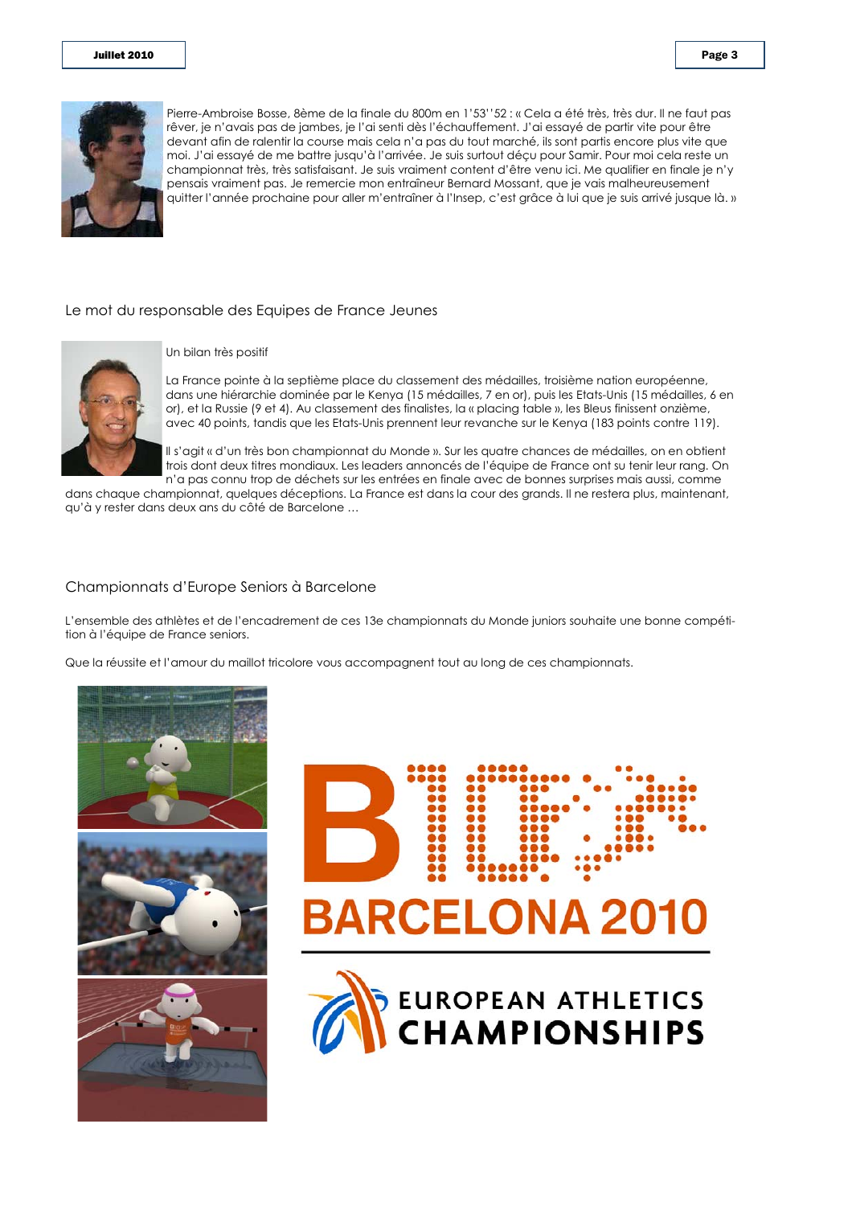

Pierre-Ambroise Bosse, 8ème de la finale du 800m en 1'53''52 : « Cela a été très, très dur. Il ne faut pas rêver, je n'avais pas de jambes, je l'ai senti dès l'échauffement. J'ai essayé de partir vite pour être devant afin de ralentir la course mais cela n'a pas du tout marché, ils sont partis encore plus vite que moi. J'ai essayé de me battre jusqu'à l'arrivée. Je suis surtout déçu pour Samir. Pour moi cela reste un championnat très, très satisfaisant. Je suis vraiment content d'être venu ici. Me qualifier en finale je n'y pensais vraiment pas. Je remercie mon entraîneur Bernard Mossant, que je vais malheureusement auitter l'année prochaine pour aller m'entraîner à l'Insep, c'est grâce à lui que je suis arrivé jusque là. »

#### Le mot du responsable des Equipes de France Jeunes



Un bilan très positif

La France pointe à la septième place du classement des médailles, troisième nation européenne, dans une hiérarchie dominée par le Kenya (15 médailles, 7 en or), puis les Etats-Unis (15 médailles, 6 en or), et la Russie (9 et 4). Au classement des finalistes, la « placing table », les Bleus finissent onzième, avec 40 points, tandis que les Etats-Unis prennent leur revanche sur le Kenya (183 points contre 119).

Il s'aait « d'un très bon championnat du Monde ». Sur les quatre chances de médailles, on en obtient trois dont deux titres mondiaux. Les leaders annoncés de l'équipe de France ont su tenir leur rang. On n'a pas connu trop de déchets sur les entrées en finale avec de bonnes surprises mais aussi, comme

dans chaque championnat, quelques déceptions. La France est dans la cour des grands. Il ne restera plus, maintenant, qu'à y rester dans deux ans du côté de Barcelone ...

#### Championnats d'Europe Seniors à Barcelone

L'ensemble des athlètes et de l'encadrement de ces 13e championnats du Monde juniors souhaite une bonne compétition à l'équipe de France seniors.

Que la réussite et l'amour du maillot tricolore vous accompagnent tout au long de ces championnats.